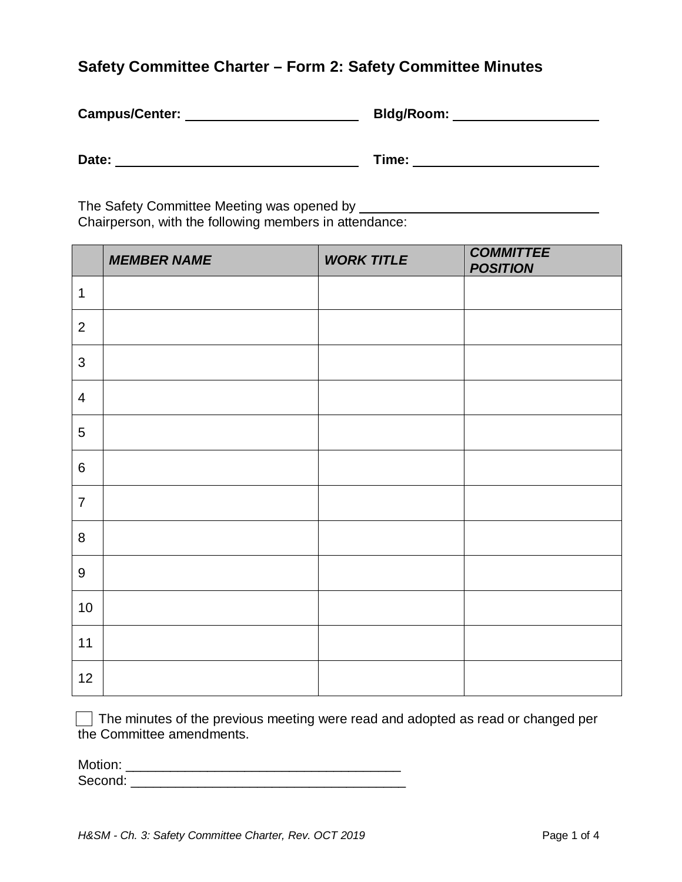## **Safety Committee Charter – Form 2: Safety Committee Minutes**

| Campus/Center: | Bldg/Room: |
|----------------|------------|
| Date:          | Time:      |

The Safety Committee Meeting was opened by \_ Chairperson, with the following members in attendance:

|                  | <b>MEMBER NAME</b> | <b>WORK TITLE</b> | <b>COMMITTEE</b><br><b>POSITION</b> |
|------------------|--------------------|-------------------|-------------------------------------|
| $\mathbf 1$      |                    |                   |                                     |
| $\overline{2}$   |                    |                   |                                     |
| $\mathfrak{S}$   |                    |                   |                                     |
| $\overline{4}$   |                    |                   |                                     |
| 5                |                    |                   |                                     |
| $6\phantom{1}$   |                    |                   |                                     |
| $\overline{7}$   |                    |                   |                                     |
| 8                |                    |                   |                                     |
| $\boldsymbol{9}$ |                    |                   |                                     |
| 10               |                    |                   |                                     |
| 11               |                    |                   |                                     |
| 12               |                    |                   |                                     |

 $\Box$  The minutes of the previous meeting were read and adopted as read or changed per the Committee amendments.

| Motion: |  |
|---------|--|
| Second: |  |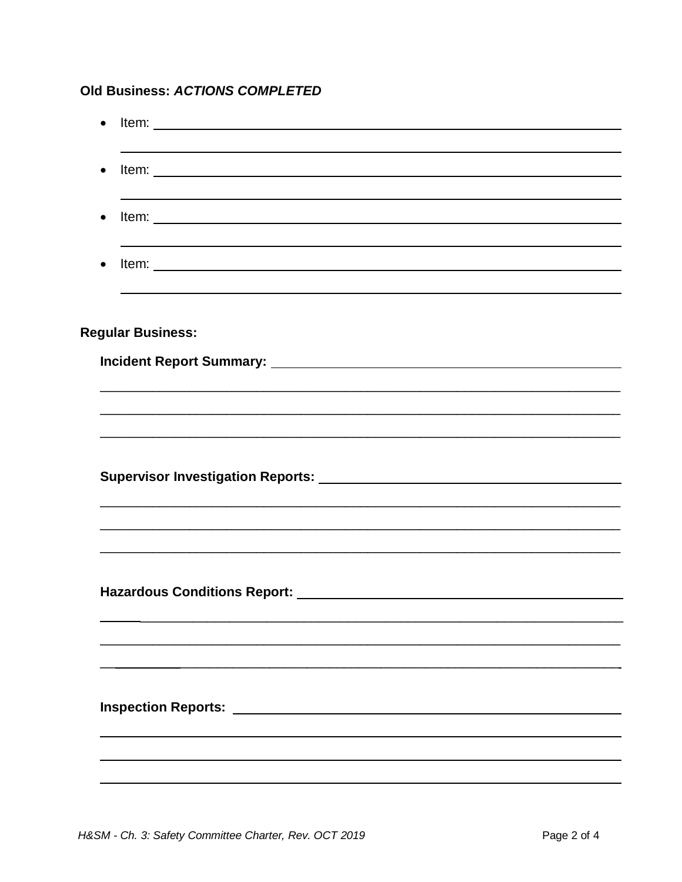## Old Business: ACTIONS COMPLETED

| $\bullet$ |                                                                                   |
|-----------|-----------------------------------------------------------------------------------|
|           |                                                                                   |
| $\bullet$ |                                                                                   |
| $\bullet$ |                                                                                   |
|           |                                                                                   |
| $\bullet$ |                                                                                   |
|           |                                                                                   |
|           | <b>Regular Business:</b>                                                          |
|           |                                                                                   |
|           |                                                                                   |
|           |                                                                                   |
|           |                                                                                   |
|           |                                                                                   |
|           |                                                                                   |
|           |                                                                                   |
|           |                                                                                   |
|           | ,我们也不能在这里的人,我们也不能在这里的人,我们也不能在这里的人,我们也不能在这里的人,我们也不能在这里的人,我们也不能在这里的人,我们也不能在这里的人,我们也 |
|           |                                                                                   |
|           |                                                                                   |
|           |                                                                                   |
|           |                                                                                   |
|           |                                                                                   |
|           |                                                                                   |
|           |                                                                                   |
|           |                                                                                   |
|           |                                                                                   |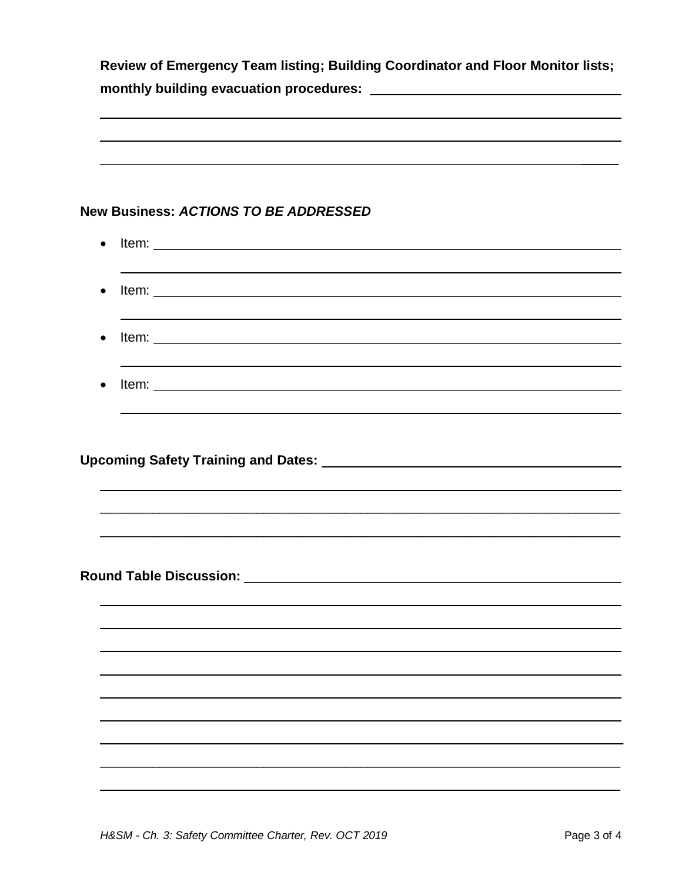|           | <b>New Business: ACTIONS TO BE ADDRESSED</b>                                                                                                                                                                                        |  |
|-----------|-------------------------------------------------------------------------------------------------------------------------------------------------------------------------------------------------------------------------------------|--|
| $\bullet$ |                                                                                                                                                                                                                                     |  |
| $\bullet$ |                                                                                                                                                                                                                                     |  |
|           |                                                                                                                                                                                                                                     |  |
| $\bullet$ |                                                                                                                                                                                                                                     |  |
|           |                                                                                                                                                                                                                                     |  |
| $\bullet$ |                                                                                                                                                                                                                                     |  |
|           |                                                                                                                                                                                                                                     |  |
|           |                                                                                                                                                                                                                                     |  |
|           |                                                                                                                                                                                                                                     |  |
|           |                                                                                                                                                                                                                                     |  |
|           |                                                                                                                                                                                                                                     |  |
|           |                                                                                                                                                                                                                                     |  |
|           |                                                                                                                                                                                                                                     |  |
|           | <b>Round Table Discussion:</b> Notice that the state of the state of the state of the state of the state of the state of the state of the state of the state of the state of the state of the state of the state of the state of th |  |
|           |                                                                                                                                                                                                                                     |  |
|           |                                                                                                                                                                                                                                     |  |
|           |                                                                                                                                                                                                                                     |  |
|           |                                                                                                                                                                                                                                     |  |
|           |                                                                                                                                                                                                                                     |  |
|           |                                                                                                                                                                                                                                     |  |